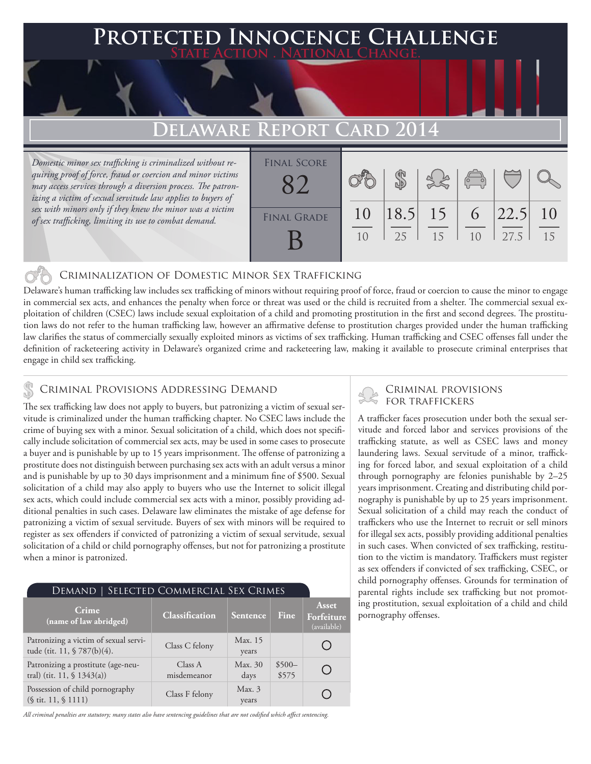### **FED INNOCENCE CHALLENGE State Action . National Change.**

## **Delaware Report Card 2014**

*Domestic minor sex trafficking is criminalized without requiring proof of force, fraud or coercion and minor victims may access services through a diversion process. The patronizing a victim of sexual servitude law applies to buyers of sex with minors only if they knew the minor was a victim of sex trafficking, limiting its use to combat demand.*

| <b>FINAL SCORE</b> |    |             |    | $\overline{\mathcal{C}}$ |      |    |
|--------------------|----|-------------|----|--------------------------|------|----|
| <b>FINAL GRADE</b> | 10 | $ 18.5 $ 15 |    | 6                        | 22.5 | 10 |
|                    | 10 | 25          | 15 | 1 <sub>0</sub>           | 27.5 | 15 |

### Criminalization of Domestic Minor Sex Trafficking

Delaware's human trafficking law includes sex trafficking of minors without requiring proof of force, fraud or coercion to cause the minor to engage in commercial sex acts, and enhances the penalty when force or threat was used or the child is recruited from a shelter. The commercial sexual exploitation of children (CSEC) laws include sexual exploitation of a child and promoting prostitution in the first and second degrees. The prostitution laws do not refer to the human trafficking law, however an affirmative defense to prostitution charges provided under the human trafficking law clarifies the status of commercially sexually exploited minors as victims of sex trafficking. Human trafficking and CSEC offenses fall under the definition of racketeering activity in Delaware's organized crime and racketeering law, making it available to prosecute criminal enterprises that engage in child sex trafficking.

### Criminal Provisions Addressing Demand

The sex trafficking law does not apply to buyers, but patronizing a victim of sexual servitude is criminalized under the human trafficking chapter. No CSEC laws include the crime of buying sex with a minor. Sexual solicitation of a child, which does not specifically include solicitation of commercial sex acts, may be used in some cases to prosecute a buyer and is punishable by up to 15 years imprisonment. The offense of patronizing a prostitute does not distinguish between purchasing sex acts with an adult versus a minor and is punishable by up to 30 days imprisonment and a minimum fine of \$500. Sexual solicitation of a child may also apply to buyers who use the Internet to solicit illegal sex acts, which could include commercial sex acts with a minor, possibly providing additional penalties in such cases. Delaware law eliminates the mistake of age defense for patronizing a victim of sexual servitude. Buyers of sex with minors will be required to register as sex offenders if convicted of patronizing a victim of sexual servitude, sexual solicitation of a child or child pornography offenses, but not for patronizing a prostitute when a minor is patronized.

| SELECTED COMMERCIAL SEX CRIMES<br>DEMAND                                     |                        |                  |                  |                                    |  |  |  |
|------------------------------------------------------------------------------|------------------------|------------------|------------------|------------------------------------|--|--|--|
| <b>Crime</b><br>(name of law abridged)                                       | Classification         | Sentence         | Fine.            | Asset<br>Forfeiture<br>(available) |  |  |  |
| Patronizing a victim of sexual servi-<br>tude (tit. 11, § 787(b)(4).         | Class C felony         | Max. 15<br>years |                  |                                    |  |  |  |
| Patronizing a prostitute (age-neu-<br>tral) (tit. 11, $\frac{1}{3}$ 1343(a)) | Class A<br>misdemeanor | Max. 30<br>days  | $$500-$<br>\$575 |                                    |  |  |  |
| Possession of child pornography<br>$(\S$ tit. 11, $\S$ 1111)                 | Class F felony         | Max.3<br>years   |                  |                                    |  |  |  |

*All criminal penalties are statutory; many states also have sentencing guidelines that are not codified which affect sentencing.* 

# Criminal provisions

A trafficker faces prosecution under both the sexual servitude and forced labor and services provisions of the trafficking statute, as well as CSEC laws and money laundering laws. Sexual servitude of a minor, trafficking for forced labor, and sexual exploitation of a child through pornography are felonies punishable by 2–25 years imprisonment. Creating and distributing child pornography is punishable by up to 25 years imprisonment. Sexual solicitation of a child may reach the conduct of traffickers who use the Internet to recruit or sell minors for illegal sex acts, possibly providing additional penalties in such cases. When convicted of sex trafficking, restitution to the victim is mandatory. Traffickers must register as sex offenders if convicted of sex trafficking, CSEC, or child pornography offenses. Grounds for termination of parental rights include sex trafficking but not promoting prostitution, sexual exploitation of a child and child pornography offenses.